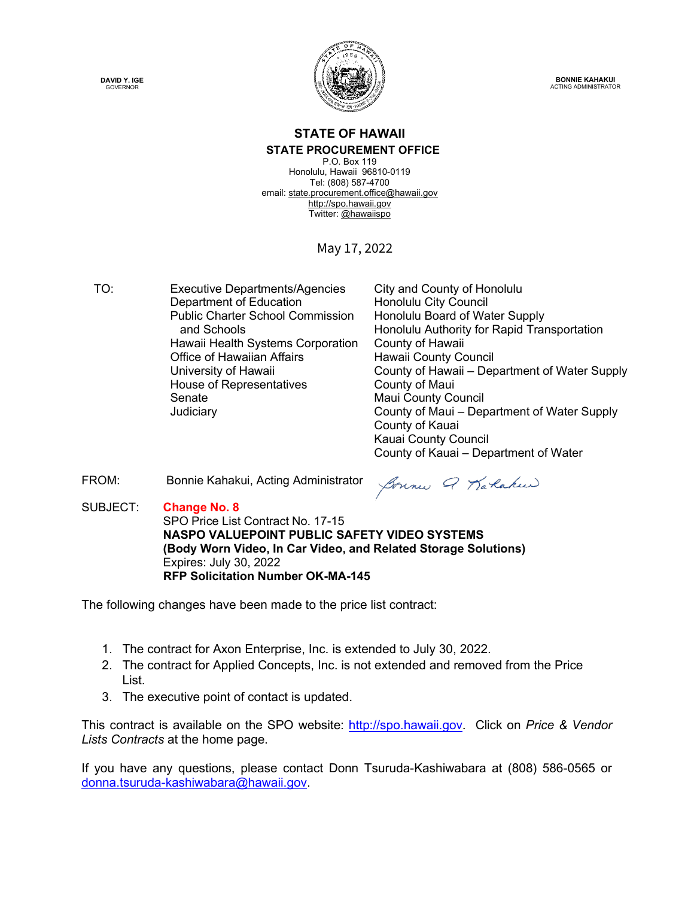**DAVID Y. IGE GOVERNOR** 



**BONNIE KAHAKUI** ACTING ADMINISTRATOR

#### **STATE OF HAWAII STATE PROCUREMENT OFFICE**

P.O. Box 119 Honolulu, Hawaii 96810-0119 Tel: (808) 587-4700 email[: state.procurement.office@hawaii.gov](mailto:state.procurement.office@hawaii.gov) [http://spo.hawaii.gov](http://spo.hawaii.gov/) Twitter: [@hawaiispo](https://twitter.com/hawaiispo)

#### May 17, 2022

TO: Executive Departments/Agencies City and County of Honolulu Department of Education **Honolulu City Council** Public Charter School Commission and Schools Hawaii Health Systems Corporation County of Hawaii Office of Hawaiian Affairs<br>
University of Hawaii County of Hawaii – Der House of Representatives **County of Maui** Senate Maui County Council

Honolulu Board of Water Supply Honolulu Authority for Rapid Transportation County of Hawaii – Department of Water Supply County of Maui – Department of Water Supply County of Kauai Kauai County Council County of Kauai – Department of Water

FROM: Bonnie Kahakui, Acting Administrator

Bonne Q Karakun

SUBJECT: **Change No. 8** SPO Price List Contract No. 17-15 **NASPO VALUEPOINT PUBLIC SAFETY VIDEO SYSTEMS (Body Worn Video, In Car Video, and Related Storage Solutions)** Expires: July 30, 2022 **RFP Solicitation Number OK-MA-145**

The following changes have been made to the price list contract:

- 1. The contract for Axon Enterprise, Inc. is extended to July 30, 2022.
- 2. The contract for Applied Concepts, Inc. is not extended and removed from the Price List.
- 3. The executive point of contact is updated.

This contract is available on the SPO website: [http://spo.hawaii.gov.](http://spo.hawaii.gov/) Click on *Price & Vendor Lists Contracts* at the home page.

If you have any questions, please contact Donn Tsuruda-Kashiwabara at (808) 586-0565 or [donna.tsuruda-kashiwabara@hawaii.gov.](mailto:donna.tsuruda-kashiwabara@hawaii.gov)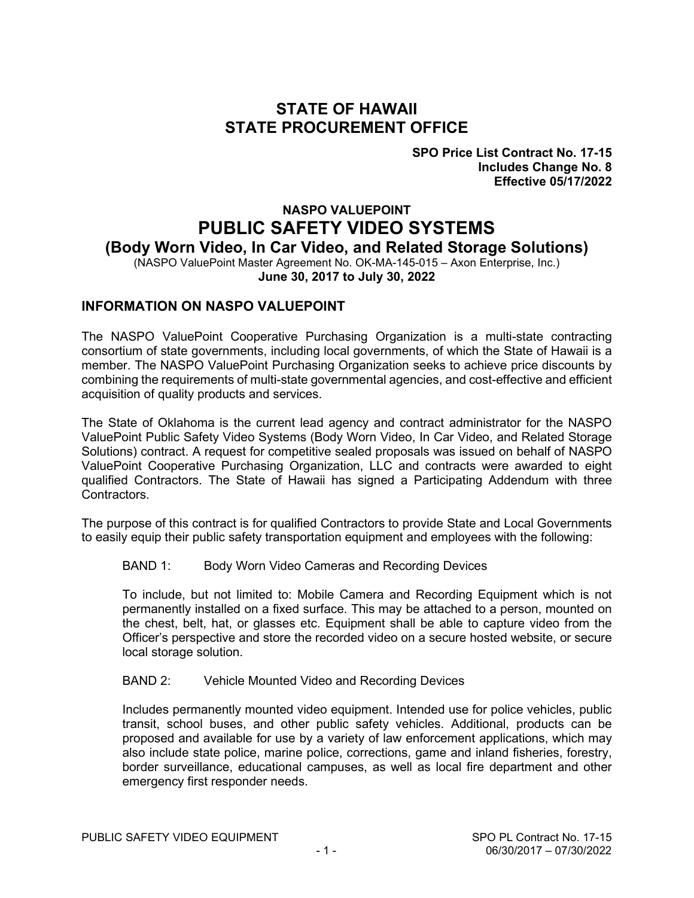#### **STATE OF HAWAII STATE PROCUREMENT OFFICE**

**SPO Price List Contract No. 17-15 Includes Change No. 8 Effective 05/17/2022**

#### **NASPO VALUEPOINT PUBLIC SAFETY VIDEO SYSTEMS (Body Worn Video, In Car Video, and Related Storage Solutions)**

(NASPO ValuePoint Master Agreement No. OK-MA-145-015 – Axon Enterprise, Inc.) **June 30, 2017 to July 30, 2022**

#### **INFORMATION ON NASPO VALUEPOINT**

The NASPO ValuePoint Cooperative Purchasing Organization is a multi-state contracting consortium of state governments, including local governments, of which the State of Hawaii is a member. The NASPO ValuePoint Purchasing Organization seeks to achieve price discounts by combining the requirements of multi-state governmental agencies, and cost-effective and efficient acquisition of quality products and services.

The State of Oklahoma is the current lead agency and contract administrator for the NASPO ValuePoint Public Safety Video Systems (Body Worn Video, In Car Video, and Related Storage Solutions) contract. A request for competitive sealed proposals was issued on behalf of NASPO ValuePoint Cooperative Purchasing Organization, LLC and contracts were awarded to eight qualified Contractors. The State of Hawaii has signed a Participating Addendum with three Contractors.

The purpose of this contract is for qualified Contractors to provide State and Local Governments to easily equip their public safety transportation equipment and employees with the following:

#### BAND 1: Body Worn Video Cameras and Recording Devices

To include, but not limited to: Mobile Camera and Recording Equipment which is not permanently installed on a fixed surface. This may be attached to a person, mounted on the chest, belt, hat, or glasses etc. Equipment shall be able to capture video from the Officer's perspective and store the recorded video on a secure hosted website, or secure local storage solution.

#### BAND 2: Vehicle Mounted Video and Recording Devices

Includes permanently mounted video equipment. Intended use for police vehicles, public transit, school buses, and other public safety vehicles. Additional, products can be proposed and available for use by a variety of law enforcement applications, which may also include state police, marine police, corrections, game and inland fisheries, forestry, border surveillance, educational campuses, as well as local fire department and other emergency first responder needs.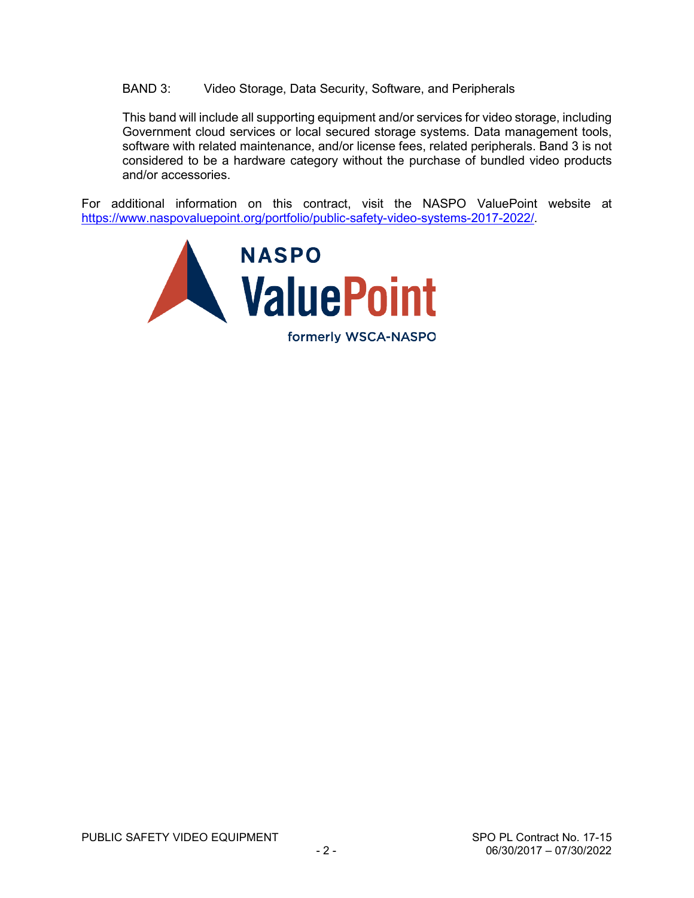BAND 3: Video Storage, Data Security, Software, and Peripherals

This band will include all supporting equipment and/or services for video storage, including Government cloud services or local secured storage systems. Data management tools, software with related maintenance, and/or license fees, related peripherals. Band 3 is not considered to be a hardware category without the purchase of bundled video products and/or accessories.

For additional information on this contract, visit the NASPO ValuePoint website at [https://www.naspovaluepoint.org/portfolio/public-safety-video-systems-2017-2022/.](https://www.naspovaluepoint.org/portfolio/public-safety-video-systems-2017-2022/)

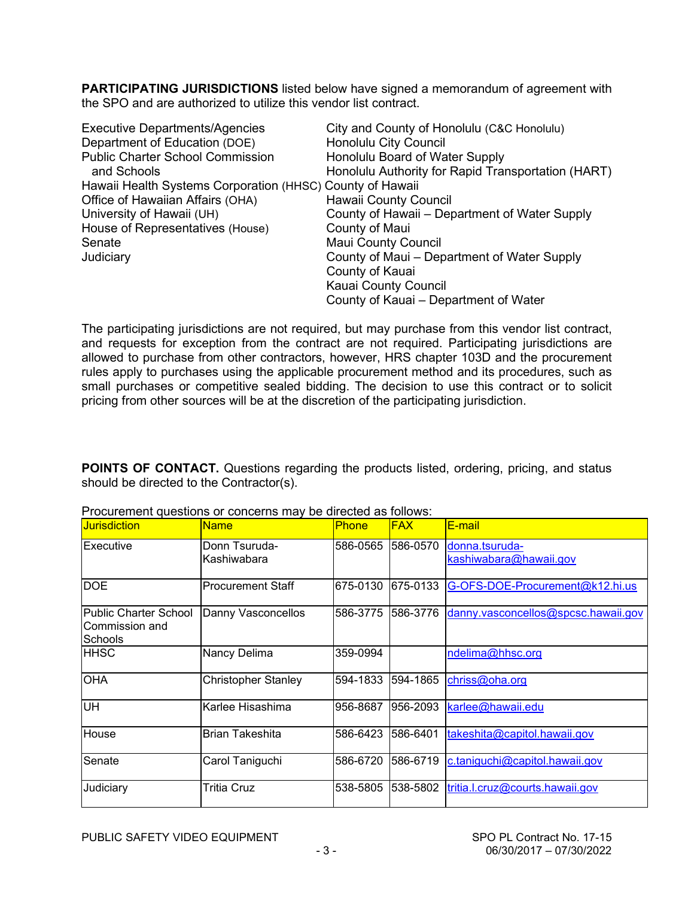**PARTICIPATING JURISDICTIONS** listed below have signed a memorandum of agreement with the SPO and are authorized to utilize this vendor list contract.

| <b>Executive Departments/Agencies</b>                     | City and County of Honolulu (C&C Honolulu)         |
|-----------------------------------------------------------|----------------------------------------------------|
| Department of Education (DOE)                             | Honolulu City Council                              |
| <b>Public Charter School Commission</b>                   | Honolulu Board of Water Supply                     |
| and Schools                                               | Honolulu Authority for Rapid Transportation (HART) |
| Hawaii Health Systems Corporation (HHSC) County of Hawaii |                                                    |
| Office of Hawaiian Affairs (OHA)                          | Hawaii County Council                              |
| University of Hawaii (UH)                                 | County of Hawaii – Department of Water Supply      |
| House of Representatives (House)                          | County of Maui                                     |
| Senate                                                    | <b>Maui County Council</b>                         |
| Judiciary                                                 | County of Maui – Department of Water Supply        |
|                                                           | County of Kauai                                    |
|                                                           | Kauai County Council                               |
|                                                           | County of Kauai – Department of Water              |

The participating jurisdictions are not required, but may purchase from this vendor list contract, and requests for exception from the contract are not required. Participating jurisdictions are allowed to purchase from other contractors, however, HRS chapter 103D and the procurement rules apply to purchases using the applicable procurement method and its procedures, such as small purchases or competitive sealed bidding. The decision to use this contract or to solicit pricing from other sources will be at the discretion of the participating jurisdiction.

**POINTS OF CONTACT.** Questions regarding the products listed, ordering, pricing, and status should be directed to the Contractor(s).

| <b>Jurisdiction</b>                                       | <b>Name</b>                  | <b>Phone</b> | <b>FAX</b> | E-mail                                   |
|-----------------------------------------------------------|------------------------------|--------------|------------|------------------------------------------|
| Executive                                                 | Donn Tsuruda-<br>Kashiwabara | 586-0565     | 586-0570   | donna.tsuruda-<br>kashiwabara@hawaii.gov |
| <b>DOE</b>                                                | <b>Procurement Staff</b>     | 675-0130     | 675-0133   | G-OFS-DOE-Procurement@k12.hi.us          |
| <b>Public Charter School</b><br>Commission and<br>Schools | Danny Vasconcellos           | 586-3775     | 1586-3776  | danny.vasconcellos@spcsc.hawaii.gov      |
| HHSC                                                      | Nancy Delima                 | 359-0994     |            | ndelima@hhsc.org                         |
| <b>OHA</b>                                                | <b>Christopher Stanley</b>   | 594-1833     | 594-1865   | chriss@oha.org                           |
| <b>UH</b>                                                 | Karlee Hisashima             | 956-8687     | 956-2093   | karlee@hawaii.edu                        |
| House                                                     | <b>Brian Takeshita</b>       | 586-6423     | 586-6401   | takeshita@capitol.hawaii.gov             |
| Senate                                                    | Carol Taniguchi              | 586-6720     | 586-6719   | c.taniguchi@capitol.hawaii.gov           |
| Judiciary                                                 | <b>Tritia Cruz</b>           | 538-5805     | 538-5802   | tritia.l.cruz@courts.hawaii.gov          |

Procurement questions or concerns may be directed as follows: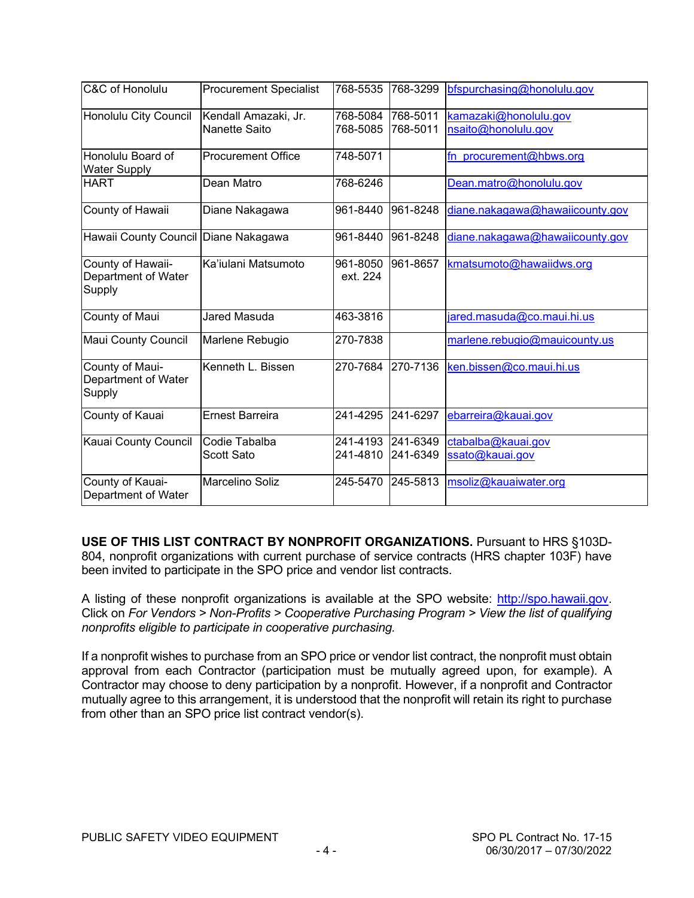| C&C of Honolulu                                    | <b>Procurement Specialist</b>                | 768-5535             | 768-3299             | bfspurchasing@honolulu.gov                   |
|----------------------------------------------------|----------------------------------------------|----------------------|----------------------|----------------------------------------------|
| Honolulu City Council                              | Kendall Amazaki, Jr.<br><b>Nanette Saito</b> | 768-5084<br>768-5085 | 768-5011<br>768-5011 | kamazaki@honolulu.gov<br>nsaito@honolulu.gov |
| Honolulu Board of<br><b>Water Supply</b>           | <b>Procurement Office</b>                    | 748-5071             |                      | fn procurement@hbws.org                      |
| <b>HART</b>                                        | Dean Matro                                   | 768-6246             |                      | Dean.matro@honolulu.gov                      |
| County of Hawaii                                   | Diane Nakagawa                               | 961-8440             | 961-8248             | diane.nakagawa@hawaiicounty.gov              |
| Hawaii County Council Diane Nakagawa               |                                              | 961-8440             | 961-8248             | diane.nakagawa@hawaiicounty.gov              |
| County of Hawaii-<br>Department of Water<br>Supply | Ka'iulani Matsumoto                          | 961-8050<br>ext. 224 | 961-8657             | kmatsumoto@hawaiidws.org                     |
| County of Maui                                     | Jared Masuda                                 | 463-3816             |                      | jared.masuda@co.maui.hi.us                   |
| Maui County Council                                | Marlene Rebugio                              | 270-7838             |                      | marlene.rebugio@mauicounty.us                |
| County of Maui-<br>Department of Water<br>Supply   | Kenneth L. Bissen                            | 270-7684             | 270-7136             | ken.bissen@co.maui.hi.us                     |
| County of Kauai                                    | <b>Ernest Barreira</b>                       | 241-4295             | 241-6297             | ebarreira@kauai.gov                          |
| Kauai County Council                               | Codie Tabalba<br><b>Scott Sato</b>           | 241-4193<br>241-4810 | 241-6349<br>241-6349 | ctabalba@kauai.gov<br>ssato@kauai.gov        |
| County of Kauai-<br>Department of Water            | Marcelino Soliz                              | 245-5470             | 245-5813             | msoliz@kauaiwater.org                        |

**USE OF THIS LIST CONTRACT BY NONPROFIT ORGANIZATIONS.** Pursuant to HRS §103D-804, nonprofit organizations with current purchase of service contracts (HRS chapter 103F) have been invited to participate in the SPO price and vendor list contracts.

A listing of these nonprofit organizations is available at the SPO website: [http://spo.hawaii.gov.](http://spo.hawaii.gov/) Click on *For Vendors > Non-Profits > Cooperative Purchasing Program > View the list of qualifying nonprofits eligible to participate in cooperative purchasing.*

If a nonprofit wishes to purchase from an SPO price or vendor list contract, the nonprofit must obtain approval from each Contractor (participation must be mutually agreed upon, for example). A Contractor may choose to deny participation by a nonprofit. However, if a nonprofit and Contractor mutually agree to this arrangement, it is understood that the nonprofit will retain its right to purchase from other than an SPO price list contract vendor(s).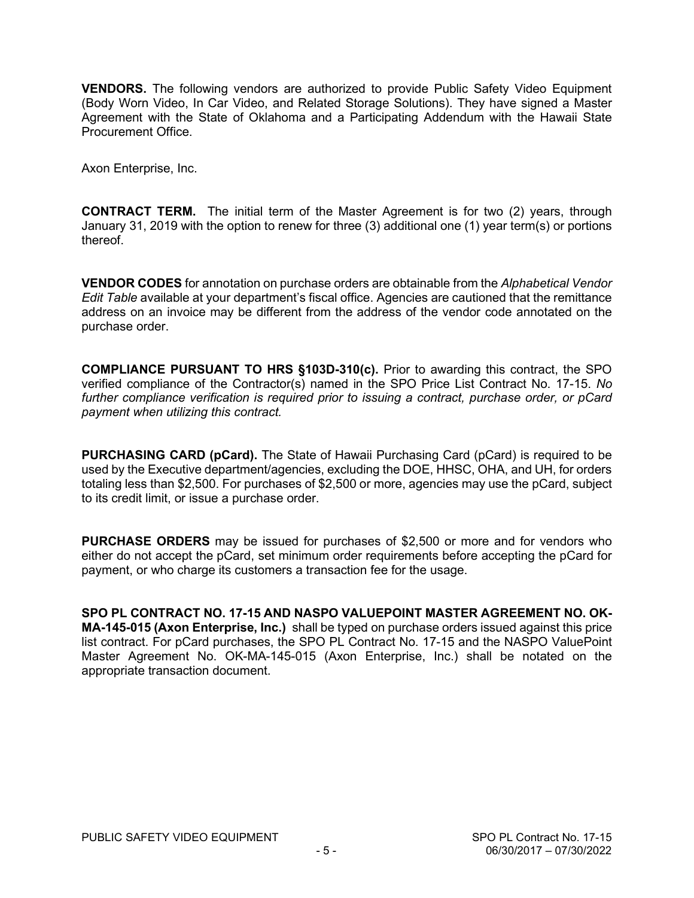**VENDORS.** The following vendors are authorized to provide Public Safety Video Equipment (Body Worn Video, In Car Video, and Related Storage Solutions). They have signed a Master Agreement with the State of Oklahoma and a Participating Addendum with the Hawaii State Procurement Office.

Axon Enterprise, Inc.

**CONTRACT TERM.** The initial term of the Master Agreement is for two (2) years, through January 31, 2019 with the option to renew for three (3) additional one (1) year term(s) or portions thereof.

**VENDOR CODES** for annotation on purchase orders are obtainable from the *Alphabetical Vendor Edit Table* available at your department's fiscal office. Agencies are cautioned that the remittance address on an invoice may be different from the address of the vendor code annotated on the purchase order.

**COMPLIANCE PURSUANT TO HRS §103D-310(c).** Prior to awarding this contract, the SPO verified compliance of the Contractor(s) named in the SPO Price List Contract No. 17-15. *No further compliance verification is required prior to issuing a contract, purchase order, or pCard payment when utilizing this contract.*

**PURCHASING CARD (pCard).** The State of Hawaii Purchasing Card (pCard) is required to be used by the Executive department/agencies, excluding the DOE, HHSC, OHA, and UH, for orders totaling less than \$2,500. For purchases of \$2,500 or more, agencies may use the pCard, subject to its credit limit, or issue a purchase order.

**PURCHASE ORDERS** may be issued for purchases of \$2,500 or more and for vendors who either do not accept the pCard, set minimum order requirements before accepting the pCard for payment, or who charge its customers a transaction fee for the usage.

**SPO PL CONTRACT NO. 17-15 AND NASPO VALUEPOINT MASTER AGREEMENT NO. OK-MA-145-015 (Axon Enterprise, Inc.)** shall be typed on purchase orders issued against this price list contract. For pCard purchases, the SPO PL Contract No. 17-15 and the NASPO ValuePoint Master Agreement No. OK-MA-145-015 (Axon Enterprise, Inc.) shall be notated on the appropriate transaction document.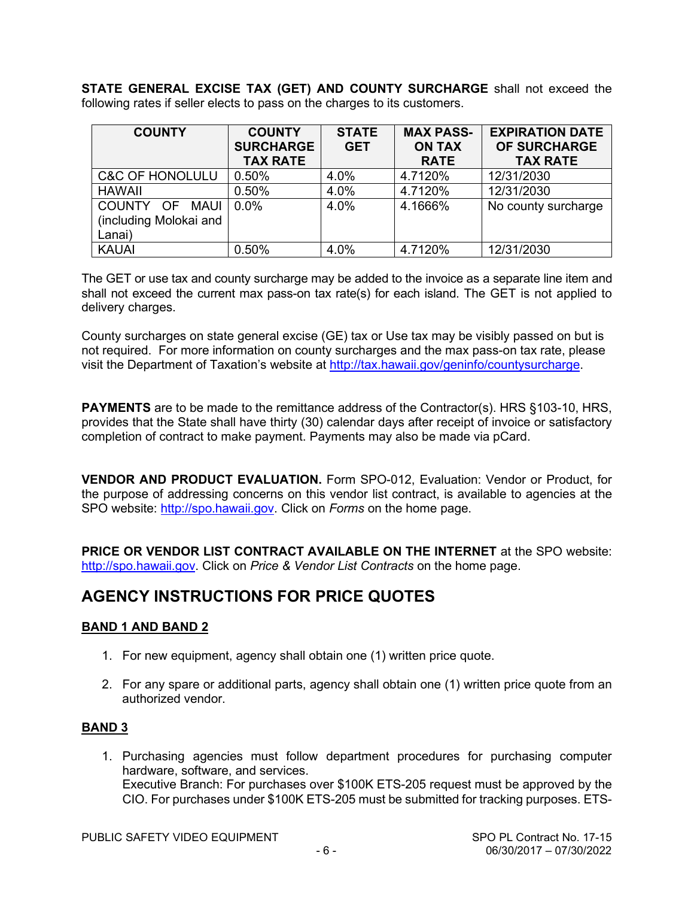**STATE GENERAL EXCISE TAX (GET) AND COUNTY SURCHARGE** shall not exceed the following rates if seller elects to pass on the charges to its customers.

| <b>COUNTY</b>                            | <b>COUNTY</b><br><b>SURCHARGE</b><br><b>TAX RATE</b> | <b>STATE</b><br><b>GET</b> | <b>MAX PASS-</b><br><b>ON TAX</b><br><b>RATE</b> | <b>EXPIRATION DATE</b><br><b>OF SURCHARGE</b><br><b>TAX RATE</b> |
|------------------------------------------|------------------------------------------------------|----------------------------|--------------------------------------------------|------------------------------------------------------------------|
| <b>C&amp;C OF HONOLULU</b>               | 0.50%                                                | 4.0%                       | 4.7120%                                          | 12/31/2030                                                       |
| <b>HAWAII</b>                            | 0.50%                                                | 4.0%                       | 4.7120%                                          | 12/31/2030                                                       |
| COUNTY OF MAUI<br>(including Molokai and | $0.0\%$                                              | 4.0%                       | 4.1666%                                          | No county surcharge                                              |
| Lanai)                                   |                                                      |                            |                                                  |                                                                  |
| <b>KAUAI</b>                             | 0.50%                                                | 4.0%                       | 4.7120%                                          | 12/31/2030                                                       |

The GET or use tax and county surcharge may be added to the invoice as a separate line item and shall not exceed the current max pass-on tax rate(s) for each island. The GET is not applied to delivery charges.

County surcharges on state general excise (GE) tax or Use tax may be visibly passed on but is not required. For more information on county surcharges and the max pass-on tax rate, please visit the Department of Taxation's website at [http://tax.hawaii.gov/geninfo/countysurcharge.](http://tax.hawaii.gov/geninfo/countysurcharge)

**PAYMENTS** are to be made to the remittance address of the Contractor(s). HRS §103-10, HRS, provides that the State shall have thirty (30) calendar days after receipt of invoice or satisfactory completion of contract to make payment. Payments may also be made via pCard.

**VENDOR AND PRODUCT EVALUATION.** Form SPO-012, Evaluation: Vendor or Product, for the purpose of addressing concerns on this vendor list contract, is available to agencies at the SPO website: [http://spo.hawaii.gov.](http://spo.hawaii.gov/) Click on *Forms* on the home page.

**PRICE OR VENDOR LIST CONTRACT AVAILABLE ON THE INTERNET** at the SPO website: [http://spo.hawaii.gov.](http://spo.hawaii.gov/) Click on *Price & Vendor List Contracts* on the home page.

#### **AGENCY INSTRUCTIONS FOR PRICE QUOTES**

#### **BAND 1 AND BAND 2**

- 1. For new equipment, agency shall obtain one (1) written price quote.
- 2. For any spare or additional parts, agency shall obtain one (1) written price quote from an authorized vendor.

#### **BAND 3**

1. Purchasing agencies must follow department procedures for purchasing computer hardware, software, and services. Executive Branch: For purchases over \$100K ETS-205 request must be approved by the CIO. For purchases under \$100K ETS-205 must be submitted for tracking purposes. ETS-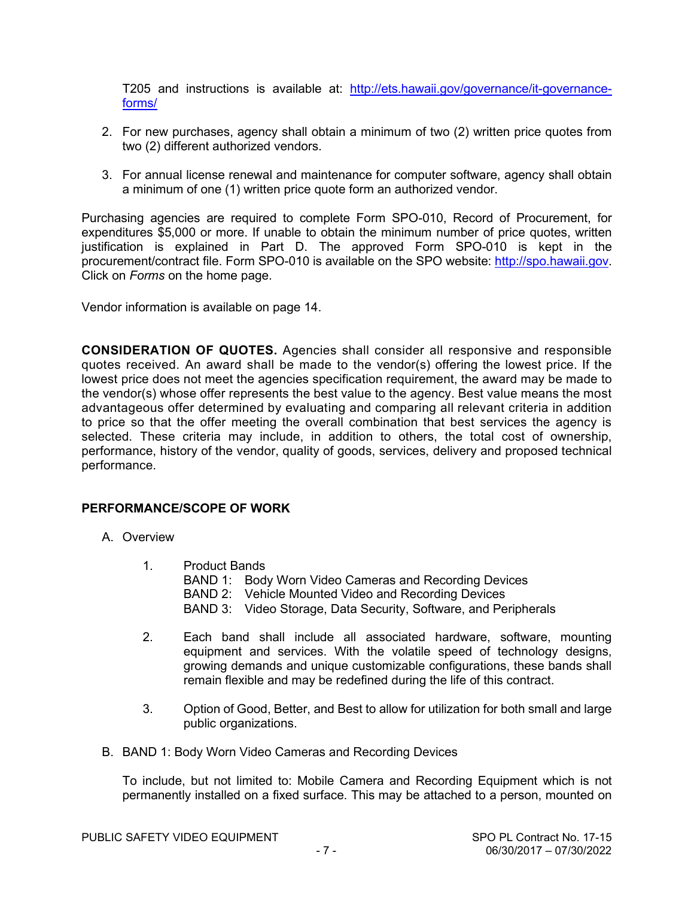T205 and instructions is available at: [http://ets.hawaii.gov/governance/it-governance](http://ets.hawaii.gov/governance/it-governance-forms/)[forms/](http://ets.hawaii.gov/governance/it-governance-forms/) 

- 2. For new purchases, agency shall obtain a minimum of two (2) written price quotes from two (2) different authorized vendors.
- 3. For annual license renewal and maintenance for computer software, agency shall obtain a minimum of one (1) written price quote form an authorized vendor.

Purchasing agencies are required to complete Form SPO-010, Record of Procurement, for expenditures \$5,000 or more. If unable to obtain the minimum number of price quotes, written justification is explained in Part D. The approved Form SPO-010 is kept in the procurement/contract file. Form SPO-010 is available on the SPO website: [http://spo.hawaii.gov.](http://spo.hawaii.gov/) Click on *Forms* on the home page.

Vendor information is available on page 14.

**CONSIDERATION OF QUOTES.** Agencies shall consider all responsive and responsible quotes received. An award shall be made to the vendor(s) offering the lowest price. If the lowest price does not meet the agencies specification requirement, the award may be made to the vendor(s) whose offer represents the best value to the agency. Best value means the most advantageous offer determined by evaluating and comparing all relevant criteria in addition to price so that the offer meeting the overall combination that best services the agency is selected. These criteria may include, in addition to others, the total cost of ownership, performance, history of the vendor, quality of goods, services, delivery and proposed technical performance.

#### **PERFORMANCE/SCOPE OF WORK**

- A. Overview
	- 1. Product Bands BAND 1: Body Worn Video Cameras and Recording Devices BAND 2: Vehicle Mounted Video and Recording Devices BAND 3: Video Storage, Data Security, Software, and Peripherals
	- 2. Each band shall include all associated hardware, software, mounting equipment and services. With the volatile speed of technology designs, growing demands and unique customizable configurations, these bands shall remain flexible and may be redefined during the life of this contract.
	- 3. Option of Good, Better, and Best to allow for utilization for both small and large public organizations.
- B. BAND 1: Body Worn Video Cameras and Recording Devices

To include, but not limited to: Mobile Camera and Recording Equipment which is not permanently installed on a fixed surface. This may be attached to a person, mounted on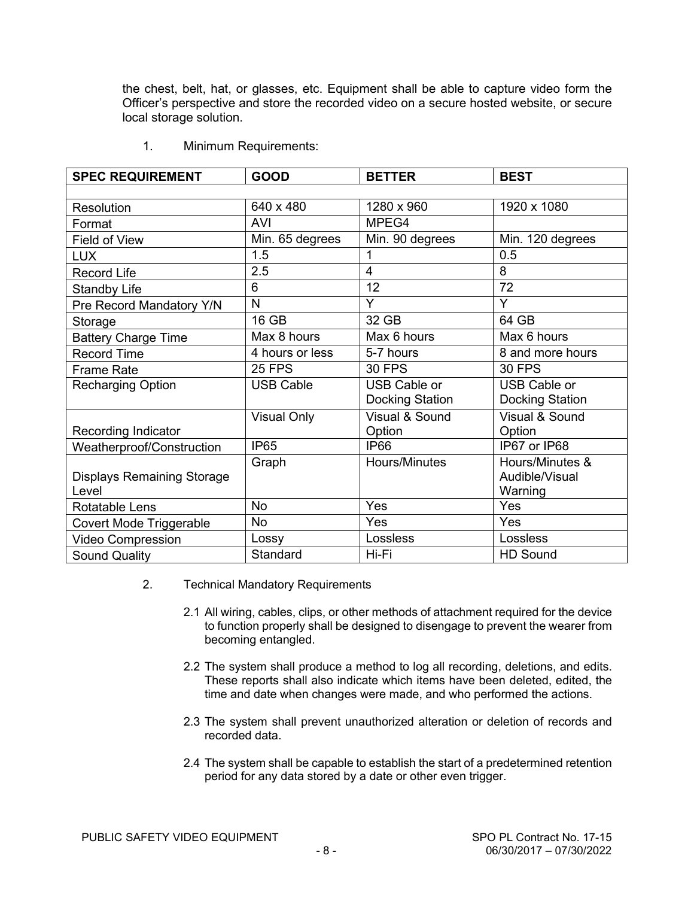the chest, belt, hat, or glasses, etc. Equipment shall be able to capture video form the Officer's perspective and store the recorded video on a secure hosted website, or secure local storage solution.

| <b>SPEC REQUIREMENT</b>           | <b>GOOD</b>        | <b>BETTER</b>       | <b>BEST</b>            |
|-----------------------------------|--------------------|---------------------|------------------------|
|                                   |                    |                     |                        |
| Resolution                        | 640 x 480          | 1280 x 960          | 1920 x 1080            |
| Format                            | <b>AVI</b>         | MPEG4               |                        |
| Field of View                     | Min. 65 degrees    | Min. 90 degrees     | Min. 120 degrees       |
| <b>LUX</b>                        | 1.5                | 1                   | 0.5                    |
| <b>Record Life</b>                | 2.5                | $\overline{4}$      | 8                      |
| <b>Standby Life</b>               | 6                  | 12                  | 72                     |
| Pre Record Mandatory Y/N          | N                  | Y                   | Y                      |
| Storage                           | 16 GB              | 32 GB               | 64 GB                  |
| <b>Battery Charge Time</b>        | Max 8 hours        | Max 6 hours         | Max 6 hours            |
| <b>Record Time</b>                | 4 hours or less    | 5-7 hours           | 8 and more hours       |
| <b>Frame Rate</b>                 | <b>25 FPS</b>      | <b>30 FPS</b>       | <b>30 FPS</b>          |
| <b>Recharging Option</b>          | <b>USB Cable</b>   | <b>USB Cable or</b> | <b>USB Cable or</b>    |
|                                   |                    | Docking Station     | <b>Docking Station</b> |
|                                   | <b>Visual Only</b> | Visual & Sound      | Visual & Sound         |
| <b>Recording Indicator</b>        |                    | Option              | Option                 |
| Weatherproof/Construction         | <b>IP65</b>        | <b>IP66</b>         | IP67 or IP68           |
|                                   | Graph              | Hours/Minutes       | Hours/Minutes &        |
| <b>Displays Remaining Storage</b> |                    |                     | Audible/Visual         |
| Level                             |                    |                     | Warning                |
| <b>Rotatable Lens</b>             | <b>No</b>          | Yes                 | Yes                    |
| Covert Mode Triggerable           | <b>No</b>          | Yes                 | Yes                    |
| <b>Video Compression</b>          | Lossy              | Lossless            | Lossless               |
| <b>Sound Quality</b>              | Standard           | Hi-Fi               | <b>HD Sound</b>        |

1. Minimum Requirements:

- 2. Technical Mandatory Requirements
	- 2.1 All wiring, cables, clips, or other methods of attachment required for the device to function properly shall be designed to disengage to prevent the wearer from becoming entangled.
	- 2.2 The system shall produce a method to log all recording, deletions, and edits. These reports shall also indicate which items have been deleted, edited, the time and date when changes were made, and who performed the actions.
	- 2.3 The system shall prevent unauthorized alteration or deletion of records and recorded data.
	- 2.4 The system shall be capable to establish the start of a predetermined retention period for any data stored by a date or other even trigger.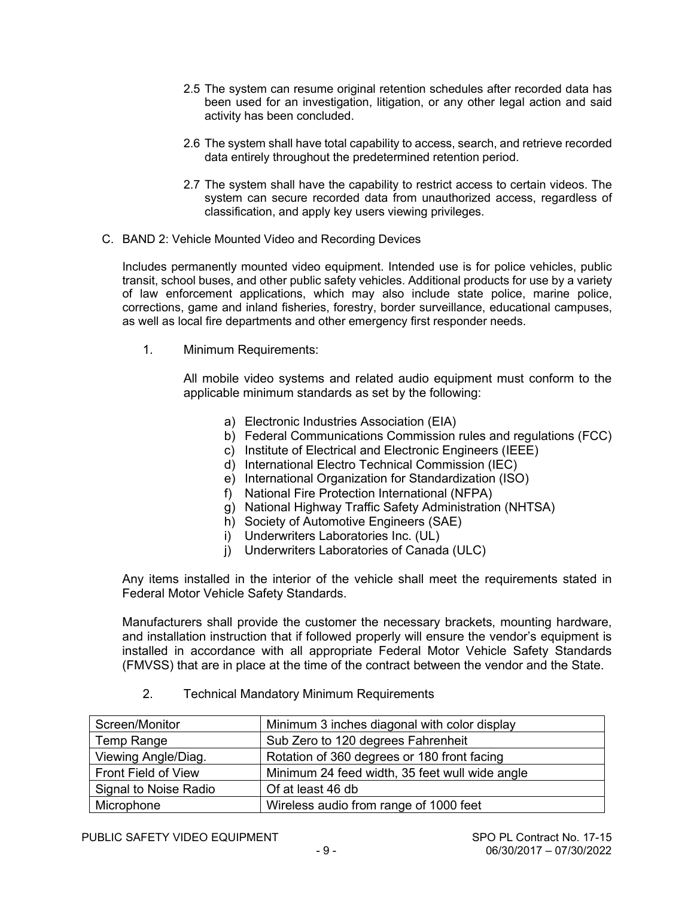- 2.5 The system can resume original retention schedules after recorded data has been used for an investigation, litigation, or any other legal action and said activity has been concluded.
- 2.6 The system shall have total capability to access, search, and retrieve recorded data entirely throughout the predetermined retention period.
- 2.7 The system shall have the capability to restrict access to certain videos. The system can secure recorded data from unauthorized access, regardless of classification, and apply key users viewing privileges.
- C. BAND 2: Vehicle Mounted Video and Recording Devices

Includes permanently mounted video equipment. Intended use is for police vehicles, public transit, school buses, and other public safety vehicles. Additional products for use by a variety of law enforcement applications, which may also include state police, marine police, corrections, game and inland fisheries, forestry, border surveillance, educational campuses, as well as local fire departments and other emergency first responder needs.

1. Minimum Requirements:

All mobile video systems and related audio equipment must conform to the applicable minimum standards as set by the following:

- a) Electronic Industries Association (EIA)
- b) Federal Communications Commission rules and regulations (FCC)
- c) Institute of Electrical and Electronic Engineers (IEEE)
- d) International Electro Technical Commission (IEC)
- e) International Organization for Standardization (ISO)
- f) National Fire Protection International (NFPA)
- g) National Highway Traffic Safety Administration (NHTSA)
- h) Society of Automotive Engineers (SAE)
- i) Underwriters Laboratories Inc. (UL)
- j) Underwriters Laboratories of Canada (ULC)

Any items installed in the interior of the vehicle shall meet the requirements stated in Federal Motor Vehicle Safety Standards.

Manufacturers shall provide the customer the necessary brackets, mounting hardware, and installation instruction that if followed properly will ensure the vendor's equipment is installed in accordance with all appropriate Federal Motor Vehicle Safety Standards (FMVSS) that are in place at the time of the contract between the vendor and the State.

2. Technical Mandatory Minimum Requirements

| Screen/Monitor        | Minimum 3 inches diagonal with color display   |  |
|-----------------------|------------------------------------------------|--|
| Temp Range            | Sub Zero to 120 degrees Fahrenheit             |  |
| Viewing Angle/Diag.   | Rotation of 360 degrees or 180 front facing    |  |
| Front Field of View   | Minimum 24 feed width, 35 feet wull wide angle |  |
| Signal to Noise Radio | Of at least 46 db                              |  |
| Microphone            | Wireless audio from range of 1000 feet         |  |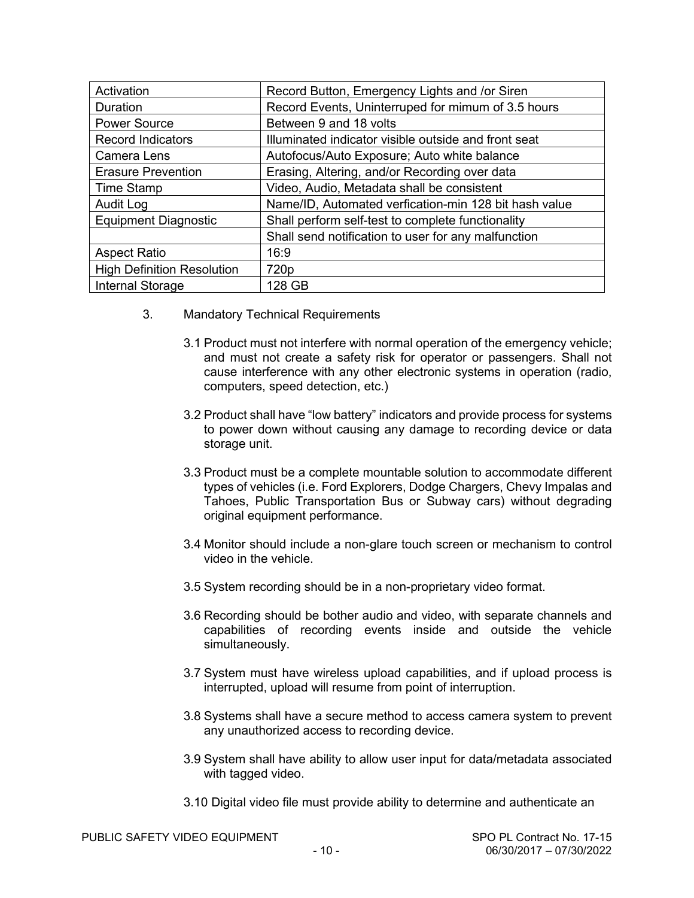| Activation                        | Record Button, Emergency Lights and /or Siren         |
|-----------------------------------|-------------------------------------------------------|
| Duration                          | Record Events, Uninterruped for mimum of 3.5 hours    |
| <b>Power Source</b>               | Between 9 and 18 volts                                |
| <b>Record Indicators</b>          | Illuminated indicator visible outside and front seat  |
| Camera Lens                       | Autofocus/Auto Exposure; Auto white balance           |
| <b>Erasure Prevention</b>         | Erasing, Altering, and/or Recording over data         |
| <b>Time Stamp</b>                 | Video, Audio, Metadata shall be consistent            |
| Audit Log                         | Name/ID, Automated verfication-min 128 bit hash value |
| <b>Equipment Diagnostic</b>       | Shall perform self-test to complete functionality     |
|                                   | Shall send notification to user for any malfunction   |
| <b>Aspect Ratio</b>               | 16:9                                                  |
| <b>High Definition Resolution</b> | 720 <sub>p</sub>                                      |
| <b>Internal Storage</b>           | 128 GB                                                |

- 3. Mandatory Technical Requirements
	- 3.1 Product must not interfere with normal operation of the emergency vehicle; and must not create a safety risk for operator or passengers. Shall not cause interference with any other electronic systems in operation (radio, computers, speed detection, etc.)
	- 3.2 Product shall have "low battery" indicators and provide process for systems to power down without causing any damage to recording device or data storage unit.
	- 3.3 Product must be a complete mountable solution to accommodate different types of vehicles (i.e. Ford Explorers, Dodge Chargers, Chevy Impalas and Tahoes, Public Transportation Bus or Subway cars) without degrading original equipment performance.
	- 3.4 Monitor should include a non-glare touch screen or mechanism to control video in the vehicle.
	- 3.5 System recording should be in a non-proprietary video format.
	- 3.6 Recording should be bother audio and video, with separate channels and capabilities of recording events inside and outside the vehicle simultaneously.
	- 3.7 System must have wireless upload capabilities, and if upload process is interrupted, upload will resume from point of interruption.
	- 3.8 Systems shall have a secure method to access camera system to prevent any unauthorized access to recording device.
	- 3.9 System shall have ability to allow user input for data/metadata associated with tagged video.
	- 3.10 Digital video file must provide ability to determine and authenticate an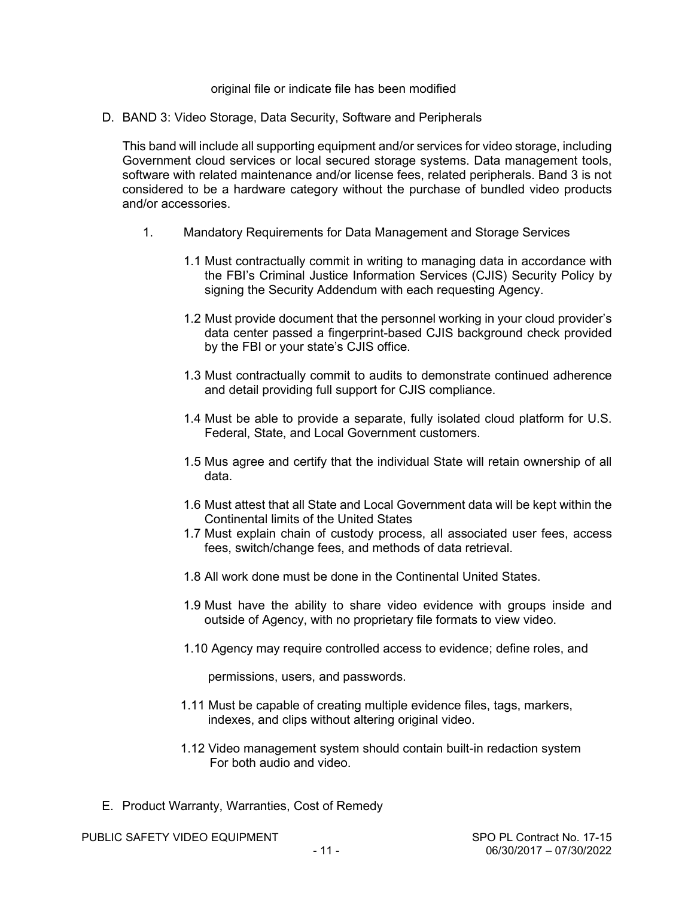#### original file or indicate file has been modified

D. BAND 3: Video Storage, Data Security, Software and Peripherals

This band will include all supporting equipment and/or services for video storage, including Government cloud services or local secured storage systems. Data management tools, software with related maintenance and/or license fees, related peripherals. Band 3 is not considered to be a hardware category without the purchase of bundled video products and/or accessories.

- 1. Mandatory Requirements for Data Management and Storage Services
	- 1.1 Must contractually commit in writing to managing data in accordance with the FBI's Criminal Justice Information Services (CJIS) Security Policy by signing the Security Addendum with each requesting Agency.
	- 1.2 Must provide document that the personnel working in your cloud provider's data center passed a fingerprint-based CJIS background check provided by the FBI or your state's CJIS office.
	- 1.3 Must contractually commit to audits to demonstrate continued adherence and detail providing full support for CJIS compliance.
	- 1.4 Must be able to provide a separate, fully isolated cloud platform for U.S. Federal, State, and Local Government customers.
	- 1.5 Mus agree and certify that the individual State will retain ownership of all data.
	- 1.6 Must attest that all State and Local Government data will be kept within the Continental limits of the United States
	- 1.7 Must explain chain of custody process, all associated user fees, access fees, switch/change fees, and methods of data retrieval.
	- 1.8 All work done must be done in the Continental United States.
	- 1.9 Must have the ability to share video evidence with groups inside and outside of Agency, with no proprietary file formats to view video.
	- 1.10 Agency may require controlled access to evidence; define roles, and

permissions, users, and passwords.

- 1.11 Must be capable of creating multiple evidence files, tags, markers, indexes, and clips without altering original video.
- 1.12 Video management system should contain built-in redaction system For both audio and video.
- E. Product Warranty, Warranties, Cost of Remedy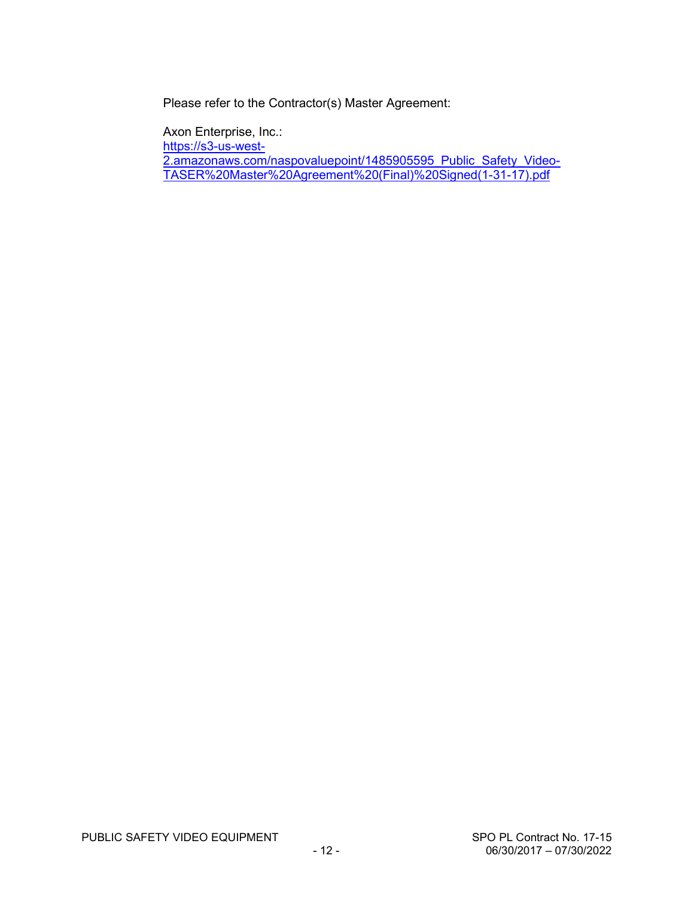Please refer to the Contractor(s) Master Agreement:

Axon Enterprise, Inc.:

[https://s3-us-west-](https://s3-us-west-2.amazonaws.com/naspovaluepoint/1485905595_Public_Safety_Video-TASER%20Master%20Agreement%20(Final)%20Signed(1-31-17).pdf)

[2.amazonaws.com/naspovaluepoint/1485905595\\_Public\\_Safety\\_Video-](https://s3-us-west-2.amazonaws.com/naspovaluepoint/1485905595_Public_Safety_Video-TASER%20Master%20Agreement%20(Final)%20Signed(1-31-17).pdf)[TASER%20Master%20Agreement%20\(Final\)%20Signed\(1-31-17\).pdf](https://s3-us-west-2.amazonaws.com/naspovaluepoint/1485905595_Public_Safety_Video-TASER%20Master%20Agreement%20(Final)%20Signed(1-31-17).pdf)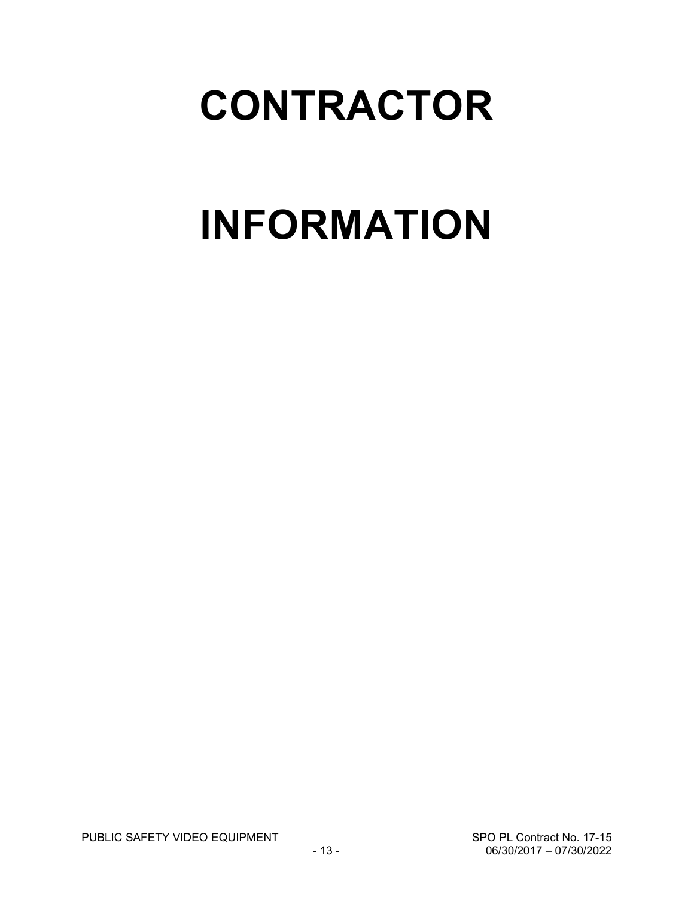## **CONTRACTOR**

# **INFORMATION**